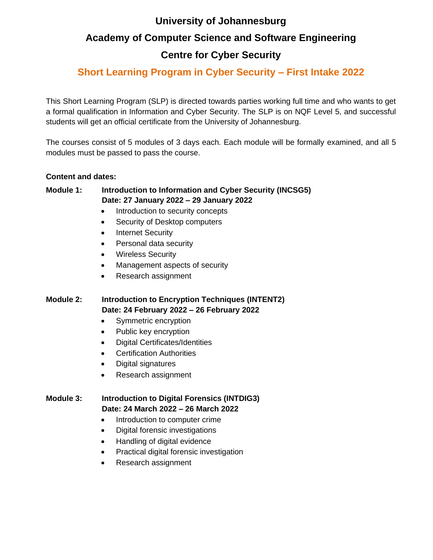### **University of Johannesburg**

## **Academy of Computer Science and Software Engineering**

# **Centre for Cyber Security**

# **Short Learning Program in Cyber Security – First Intake 2022**

This Short Learning Program (SLP) is directed towards parties working full time and who wants to get a formal qualification in Information and Cyber Security. The SLP is on NQF Level 5, and successful students will get an official certificate from the University of Johannesburg.

The courses consist of 5 modules of 3 days each. Each module will be formally examined, and all 5 modules must be passed to pass the course.

#### **Content and dates:**

### **Module 1: Introduction to Information and Cyber Security (INCSG5) Date: 27 January 2022 – 29 January 2022**

- Introduction to security concepts
- Security of Desktop computers
- Internet Security
- Personal data security
- Wireless Security
- Management aspects of security
- Research assignment

### **Module 2: Introduction to Encryption Techniques (INTENT2) Date: 24 February 2022 – 26 February 2022**

- Symmetric encryption
- Public key encryption
- Digital Certificates/Identities
- Certification Authorities
- Digital signatures
- Research assignment

#### **Module 3: Introduction to Digital Forensics (INTDIG3) Date: 24 March 2022 – 26 March 2022**

- Introduction to computer crime
- Digital forensic investigations
- Handling of digital evidence
- Practical digital forensic investigation
- Research assignment